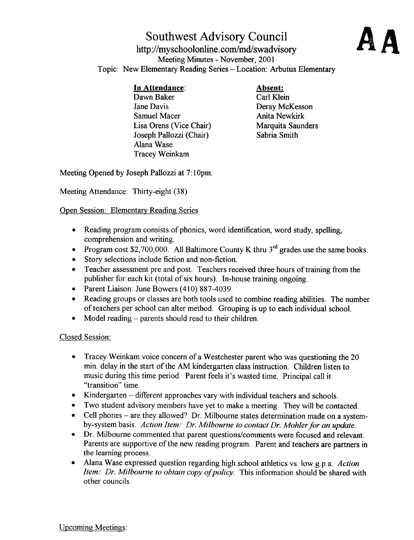# Southwest Advisory Council

Topic: New Elementary Reading Series - Location: Arbutus Elementary http ://myschoolonline .com/md/swadvisory Meeting Minutes - November, 2001

# In Attendance:

Dawn Baker Jane Davis Samuel Macer Lisa Orens (Vice Chair) Joseph Pallozzi (Chair) Alana Wase Tracey Weinkam

### Absent:

Carl Klein Deray McKesson Anita Newkirk Marquita Saunders Sabria Smith

Meeting Opened by Joseph Pallozzi at 7:10pm.

Meeting Attendance: Thirty-eight (38)

### Open Session: Elementary Reading Serie

- Reading program consists of phonics, word identification, word study, spelling, comprehension and writing.
- Program cost \$2,700,000. All Baltimore County K thru  $3<sup>rd</sup>$  grades use the same books.
- Story selections include fiction and non-fiction.
- Teacher assessment pre and post. Teachers received three hours of training from the publisher for each kit (total of six hours). In-house training ongoing.
- $\bullet$ Parent Liaison: June Bowers (410) 887-4039.
- Reading groups or classes are both tools used to combine reading abilities. The number of teachers per school can alter method. Grouping is up to each individual school.
- Model reading parents should read to their children.  $\bullet$

# Closed Session :

- Tracey Weinkam voice concern of a Westchester parent who was questioning the 20  $\bullet$ min. delay in the start of the AM kindergarten class instruction. Children listen to music during this time period. Parent feels it's wasted time. Principal call it "transition" time.
- Kindergarten different approaches vary with individual teachers and schools.  $\bullet$
- Two student advisory members have yet to make <sup>a</sup> meeting. They will be contacted.
- Cell phones  $-$  are they allowed? Dr. Milbourne states determination made on a system- $\bullet$ by-system basis. Action Item: Dr. Milbourne to contact Dr. Mohler for an update.
- Dr. Milbourne commented that parent questions/comments were focused and relevant. Parents are supportive of the new reading program. Parent and teachers are partners in the learning process .
- Alana Wase expressed question regarding high school athletics vs. low g.p.a. Action Item: Dr. Milbourne to obtain copy of policy. This information should be shared with other councils.

Upcoming Meetings: